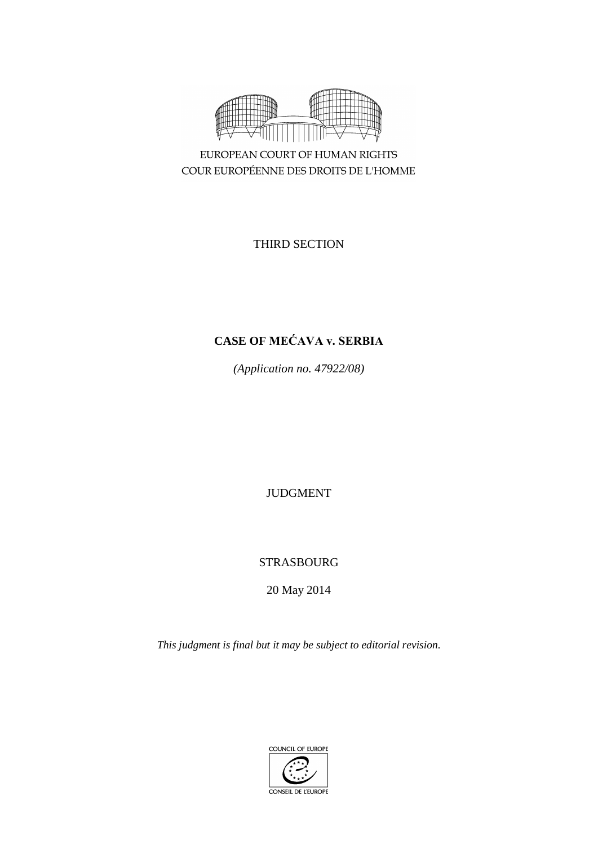

EUROPEAN COURT OF HUMAN RIGHTS COUR EUROPÉENNE DES DROITS DE L'HOMME

THIRD SECTION

# **CASE OF MEĆAVA v. SERBIA**

*(Application no. 47922/08)*

JUDGMENT

# STRASBOURG

20 May 2014

*This judgment is final but it may be subject to editorial revision.*

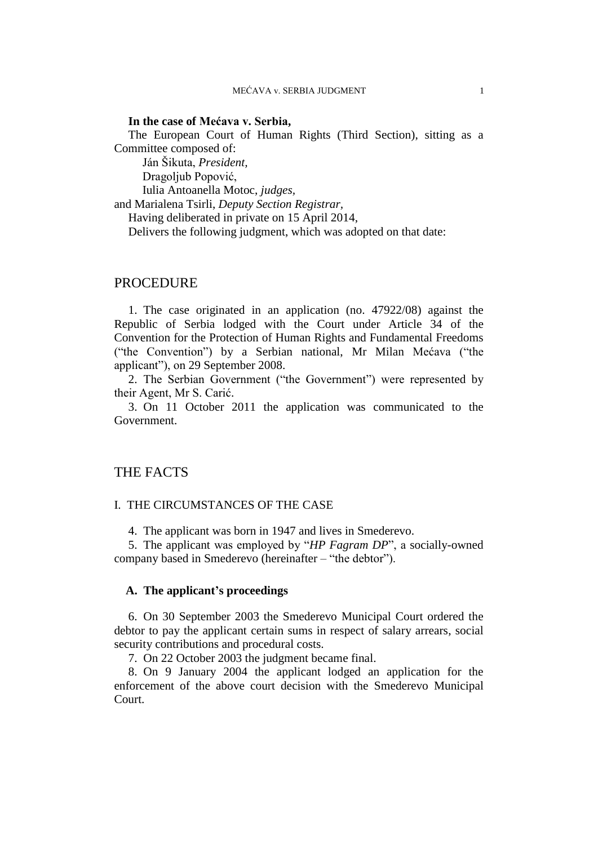## **In the case of Mećava v. Serbia,**

The European Court of Human Rights (Third Section), sitting as a Committee composed of:

Ján Šikuta, *President,*

Dragoljub Popović,

Iulia Antoanella Motoc, *judges,* and Marialena Tsirli, *Deputy Section Registrar,* Having deliberated in private on 15 April 2014, Delivers the following judgment, which was adopted on that date:

# PROCEDURE

1. The case originated in an application (no. 47922/08) against the Republic of Serbia lodged with the Court under Article 34 of the Convention for the Protection of Human Rights and Fundamental Freedoms ("the Convention") by a Serbian national, Mr Milan Mećava ("the applicant"), on 29 September 2008.

2. The Serbian Government ("the Government") were represented by their Agent, Mr S. Carić.

3. On 11 October 2011 the application was communicated to the Government.

# THE FACTS

# I. THE CIRCUMSTANCES OF THE CASE

4. The applicant was born in 1947 and lives in Smederevo.

5. The applicant was employed by "*HP Fagram DP*", a socially-owned company based in Smederevo (hereinafter – "the debtor").

# **A. The applicant's proceedings**

6. On 30 September 2003 the Smederevo Municipal Court ordered the debtor to pay the applicant certain sums in respect of salary arrears, social security contributions and procedural costs.

7. On 22 October 2003 the judgment became final.

8. On 9 January 2004 the applicant lodged an application for the enforcement of the above court decision with the Smederevo Municipal Court.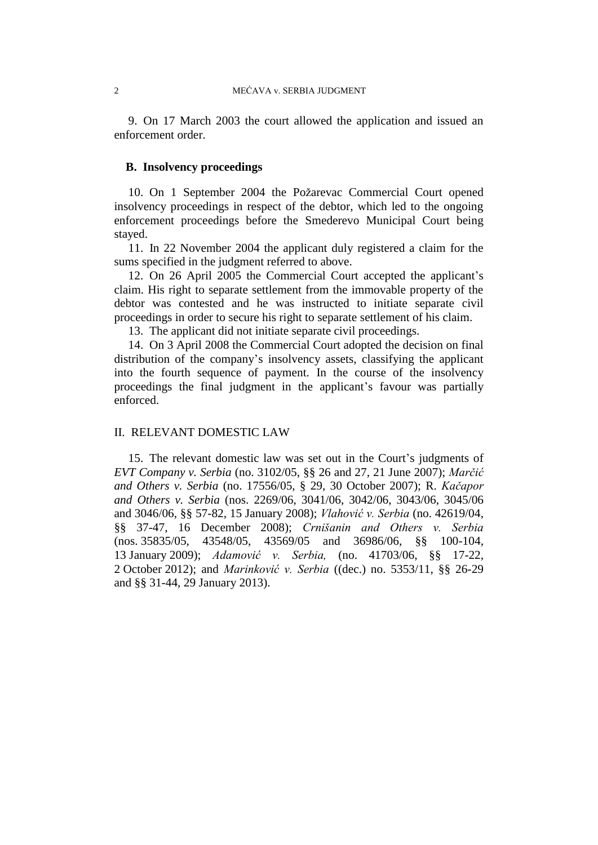9. On 17 March 2003 the court allowed the application and issued an enforcement order.

# **B. Insolvency proceedings**

10. On 1 September 2004 the Požarevac Commercial Court opened insolvency proceedings in respect of the debtor, which led to the ongoing enforcement proceedings before the Smederevo Municipal Court being stayed.

11. In 22 November 2004 the applicant duly registered a claim for the sums specified in the judgment referred to above.

12. On 26 April 2005 the Commercial Court accepted the applicant's claim. His right to separate settlement from the immovable property of the debtor was contested and he was instructed to initiate separate civil proceedings in order to secure his right to separate settlement of his claim.

13. The applicant did not initiate separate civil proceedings.

14. On 3 April 2008 the Commercial Court adopted the decision on final distribution of the company's insolvency assets, classifying the applicant into the fourth sequence of payment. In the course of the insolvency proceedings the final judgment in the applicant's favour was partially enforced.

# II. RELEVANT DOMESTIC LAW

15. The relevant domestic law was set out in the Court's judgments of *EVT Company v. Serbia* (no. 3102/05, §§ 26 and 27, 21 June 2007); *Marčić and Others v. Serbia* (no. 17556/05, § 29, 30 October 2007); R. *Kačapor and Others v. Serbia* (nos. 2269/06, 3041/06, 3042/06, 3043/06, 3045/06 and 3046/06, §§ 57-82, 15 January 2008); *Vlahović v. Serbia* (no. 42619/04, §§ 37-47, 16 December 2008); *Crnišanin and Others v. Serbia* (nos. 35835/05, 43548/05, 43569/05 and 36986/06, §§ 100-104, 13 January 2009); *Adamović v. Serbia,* (no. 41703/06, §§ 17-22, 2 October 2012); and *Marinković v. Serbia* ((dec.) no. 5353/11, §§ 26-29 and §§ 31-44, 29 January 2013).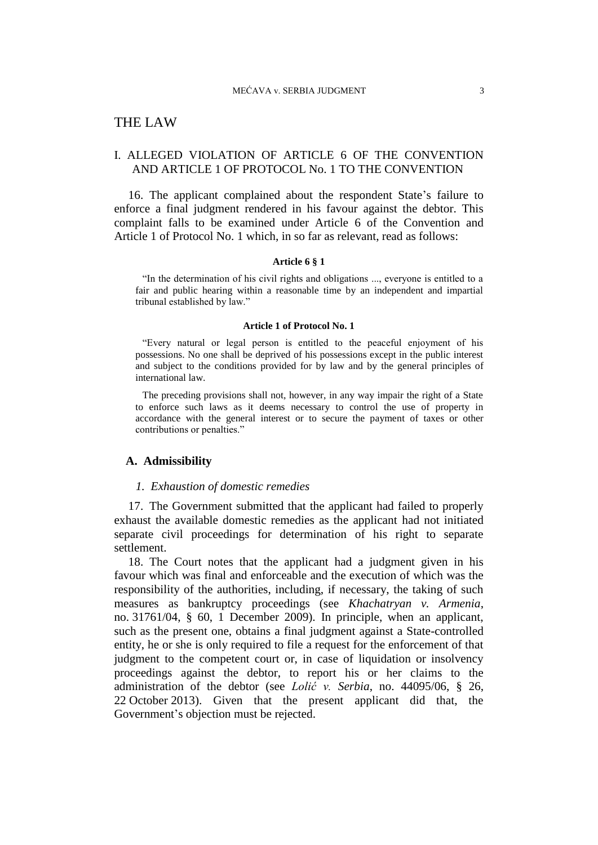# THE LAW

# I. ALLEGED VIOLATION OF ARTICLE 6 OF THE CONVENTION AND ARTICLE 1 OF PROTOCOL No. 1 TO THE CONVENTION

16. The applicant complained about the respondent State's failure to enforce a final judgment rendered in his favour against the debtor. This complaint falls to be examined under Article 6 of the Convention and Article 1 of Protocol No. 1 which, in so far as relevant, read as follows:

#### **Article 6 § 1**

"In the determination of his civil rights and obligations ..., everyone is entitled to a fair and public hearing within a reasonable time by an independent and impartial tribunal established by law."

#### **Article 1 of Protocol No. 1**

"Every natural or legal person is entitled to the peaceful enjoyment of his possessions. No one shall be deprived of his possessions except in the public interest and subject to the conditions provided for by law and by the general principles of international law.

The preceding provisions shall not, however, in any way impair the right of a State to enforce such laws as it deems necessary to control the use of property in accordance with the general interest or to secure the payment of taxes or other contributions or penalties."

#### **A. Admissibility**

#### *1. Exhaustion of domestic remedies*

17. The Government submitted that the applicant had failed to properly exhaust the available domestic remedies as the applicant had not initiated separate civil proceedings for determination of his right to separate settlement.

18. The Court notes that the applicant had a judgment given in his favour which was final and enforceable and the execution of which was the responsibility of the authorities, including, if necessary, the taking of such measures as bankruptcy proceedings (see *Khachatryan v. Armenia*, no. 31761/04, § 60, 1 December 2009). In principle, when an applicant, such as the present one, obtains a final judgment against a State-controlled entity, he or she is only required to file a request for the enforcement of that judgment to the competent court or, in case of liquidation or insolvency proceedings against the debtor, to report his or her claims to the administration of the debtor (see *Lolić v. Serbia*, no. 44095/06, § 26, 22 October 2013). Given that the present applicant did that, the Government's objection must be rejected.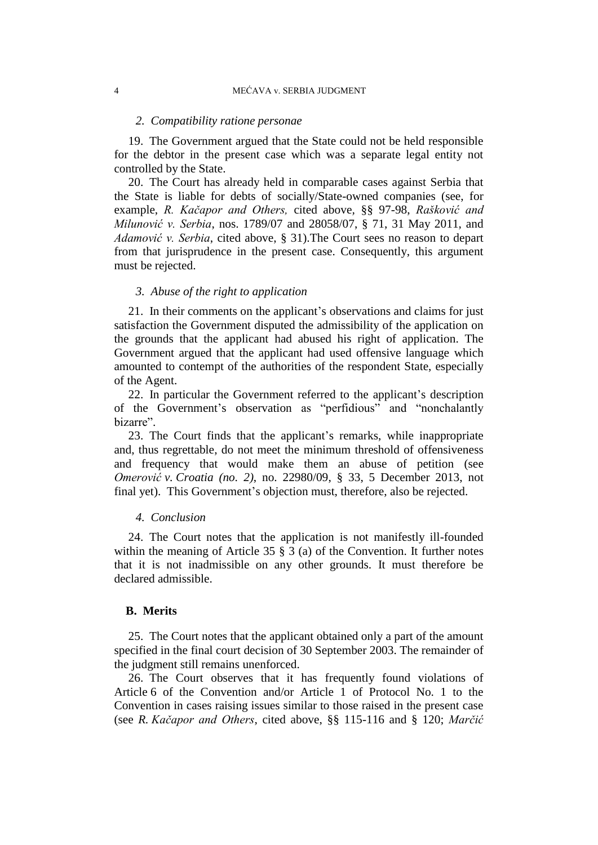#### *2. Compatibility ratione personae*

19. The Government argued that the State could not be held responsible for the debtor in the present case which was a separate legal entity not controlled by the State.

20. The Court has already held in comparable cases against Serbia that the State is liable for debts of socially/State-owned companies (see, for example, *R. Kačapor and Others,* cited above*,* §§ 97-98, *Rašković and Milunović v. Serbia*, nos. 1789/07 and 28058/07, § 71, 31 May 2011, and *Adamović v. Serbia*, cited above, § 31).The Court sees no reason to depart from that jurisprudence in the present case. Consequently, this argument must be rejected.

# *3. Abuse of the right to application*

21. In their comments on the applicant's observations and claims for just satisfaction the Government disputed the admissibility of the application on the grounds that the applicant had abused his right of application. The Government argued that the applicant had used offensive language which amounted to contempt of the authorities of the respondent State, especially of the Agent.

22. In particular the Government referred to the applicant's description of the Government's observation as "perfidious" and "nonchalantly bizarre".

23. The Court finds that the applicant's remarks, while inappropriate and, thus regrettable, do not meet the minimum threshold of offensiveness and frequency that would make them an abuse of petition (see *Omerović v. Croatia (no. 2)*, no. 22980/09, § 33, 5 December 2013, not final yet). This Government's objection must, therefore, also be rejected.

#### *4. Conclusion*

24. The Court notes that the application is not manifestly ill-founded within the meaning of Article 35 § 3 (a) of the Convention. It further notes that it is not inadmissible on any other grounds. It must therefore be declared admissible.

## **B. Merits**

25. The Court notes that the applicant obtained only a part of the amount specified in the final court decision of 30 September 2003. The remainder of the judgment still remains unenforced.

26. The Court observes that it has frequently found violations of Article 6 of the Convention and/or Article 1 of Protocol No. 1 to the Convention in cases raising issues similar to those raised in the present case (see *R. Kačapor and Others*, cited above, §§ 115-116 and § 120; *Marčić*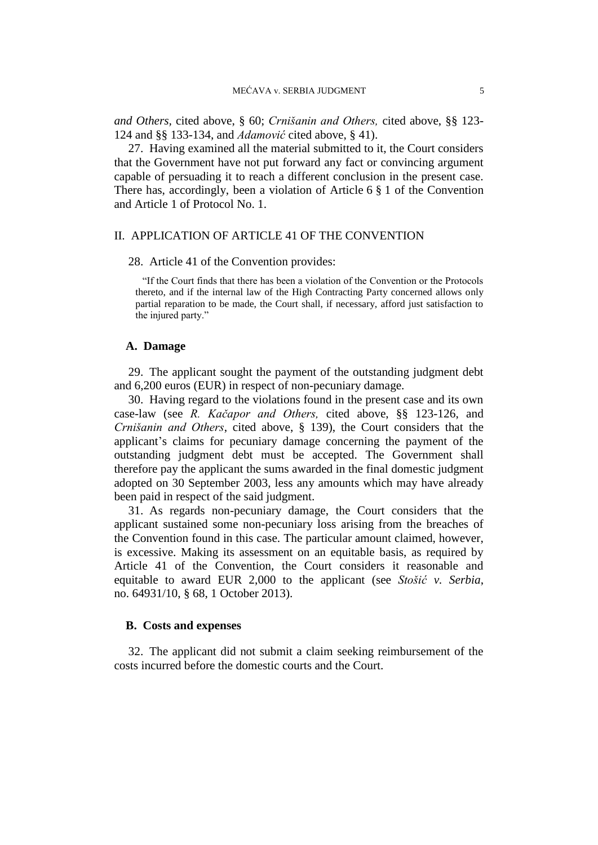*and Others,* cited above, § 60; *Crnišanin and Others,* cited above, §§ 123- 124 and §§ 133-134, and *Adamović* cited above, § 41).

27. Having examined all the material submitted to it, the Court considers that the Government have not put forward any fact or convincing argument capable of persuading it to reach a different conclusion in the present case. There has, accordingly, been a violation of Article 6 § 1 of the Convention and Article 1 of Protocol No. 1.

# II. APPLICATION OF ARTICLE 41 OF THE CONVENTION

#### 28. Article 41 of the Convention provides:

"If the Court finds that there has been a violation of the Convention or the Protocols thereto, and if the internal law of the High Contracting Party concerned allows only partial reparation to be made, the Court shall, if necessary, afford just satisfaction to the injured party."

## **A. Damage**

29. The applicant sought the payment of the outstanding judgment debt and 6,200 euros (EUR) in respect of non-pecuniary damage.

30. Having regard to the violations found in the present case and its own case-law (see *R. Kačapor and Others,* cited above, §§ 123-126, and *Crnišanin and Others*, cited above, § 139), the Court considers that the applicant's claims for pecuniary damage concerning the payment of the outstanding judgment debt must be accepted. The Government shall therefore pay the applicant the sums awarded in the final domestic judgment adopted on 30 September 2003, less any amounts which may have already been paid in respect of the said judgment.

31. As regards non-pecuniary damage, the Court considers that the applicant sustained some non-pecuniary loss arising from the breaches of the Convention found in this case. The particular amount claimed, however, is excessive. Making its assessment on an equitable basis, as required by Article 41 of the Convention, the Court considers it reasonable and equitable to award EUR 2,000 to the applicant (see *Stošić v. Serbia*, no. 64931/10, § 68, 1 October 2013).

# **B. Costs and expenses**

32. The applicant did not submit a claim seeking reimbursement of the costs incurred before the domestic courts and the Court.